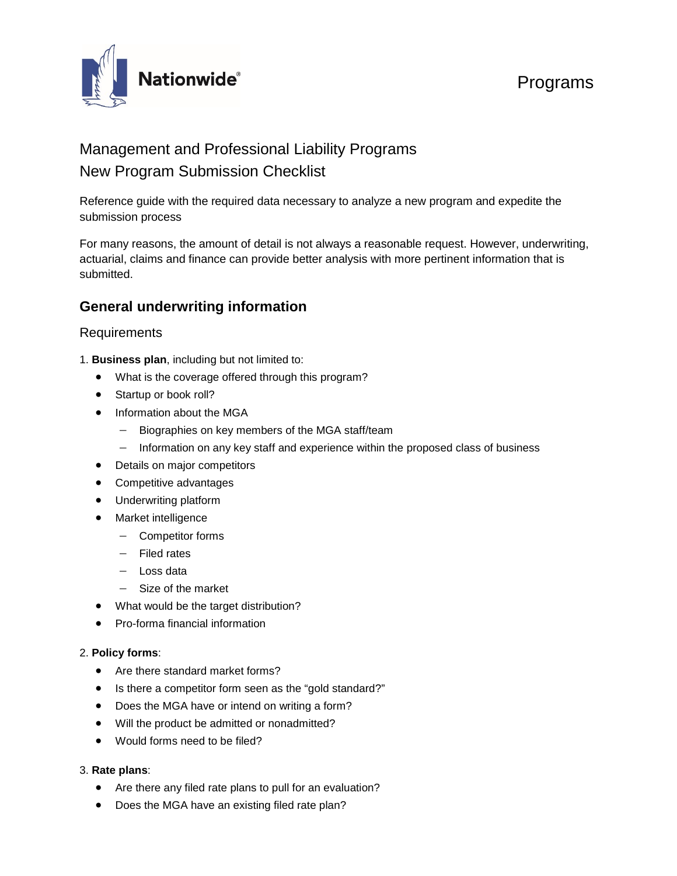

# Programs

# Management and Professional Liability Programs New Program Submission Checklist

Reference guide with the required data necessary to analyze a new program and expedite the submission process

For many reasons, the amount of detail is not always a reasonable request. However, underwriting, actuarial, claims and finance can provide better analysis with more pertinent information that is submitted.

### **General underwriting information**

#### Requirements

- 1. **Business plan**, including but not limited to:
	- What is the coverage offered through this program?
	- Startup or book roll?
	- Information about the MGA
		- − Biographies on key members of the MGA staff/team
		- − Information on any key staff and experience within the proposed class of business
	- Details on major competitors
	- Competitive advantages
	- Underwriting platform
	- Market intelligence
		- − Competitor forms
		- − Filed rates
		- − Loss data
		- − Size of the market
	- What would be the target distribution?
	- Pro-forma financial information

#### 2. **Policy forms**:

- Are there standard market forms?
- Is there a competitor form seen as the "gold standard?"
- Does the MGA have or intend on writing a form?
- Will the product be admitted or nonadmitted?
- Would forms need to be filed?

#### 3. **Rate plans**:

- Are there any filed rate plans to pull for an evaluation?
- Does the MGA have an existing filed rate plan?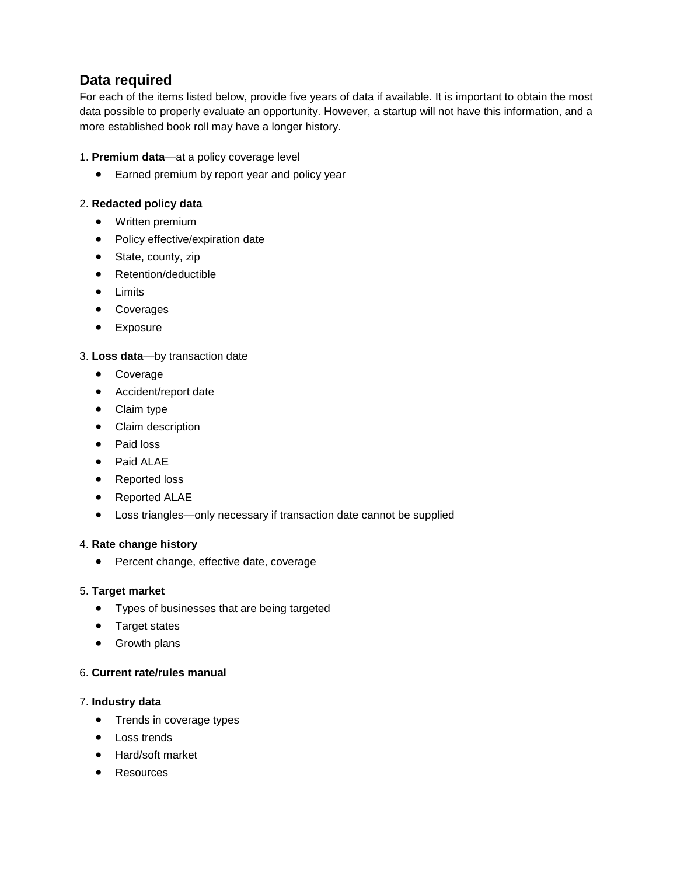## **Data required**

For each of the items listed below, provide five years of data if available. It is important to obtain the most data possible to properly evaluate an opportunity. However, a startup will not have this information, and a more established book roll may have a longer history.

#### 1. **Premium data**—at a policy coverage level

• Earned premium by report year and policy year

#### 2. **Redacted policy data**

- Written premium
- Policy effective/expiration date
- State, county, zip
- Retention/deductible
- Limits
- Coverages
- Exposure

#### 3. **Loss data**—by transaction date

- Coverage
- Accident/report date
- Claim type
- Claim description
- Paid loss
- Paid ALAE
- Reported loss
- Reported ALAE
- Loss triangles—only necessary if transaction date cannot be supplied

#### 4. **Rate change history**

• Percent change, effective date, coverage

#### 5. **Target market**

- Types of businesses that are being targeted
- Target states
- Growth plans

#### 6. **Current rate/rules manual**

#### 7. **Industry data**

- Trends in coverage types
- Loss trends
- Hard/soft market
- **Resources**